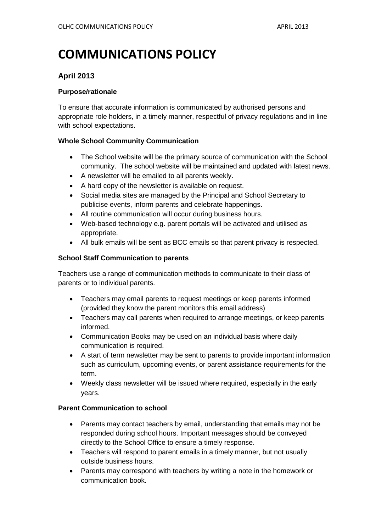# **COMMUNICATIONS POLICY**

## **April 2013**

#### **Purpose/rationale**

To ensure that accurate information is communicated by authorised persons and appropriate role holders, in a timely manner, respectful of privacy regulations and in line with school expectations.

#### **Whole School Community Communication**

- The School website will be the primary source of communication with the School community. The school website will be maintained and updated with latest news.
- A newsletter will be emailed to all parents weekly.
- A hard copy of the newsletter is available on request.
- Social media sites are managed by the Principal and School Secretary to publicise events, inform parents and celebrate happenings.
- All routine communication will occur during business hours.
- Web-based technology e.g. parent portals will be activated and utilised as appropriate.
- All bulk emails will be sent as BCC emails so that parent privacy is respected.

#### **School Staff Communication to parents**

Teachers use a range of communication methods to communicate to their class of parents or to individual parents.

- Teachers may email parents to request meetings or keep parents informed (provided they know the parent monitors this email address)
- Teachers may call parents when required to arrange meetings, or keep parents informed.
- Communication Books may be used on an individual basis where daily communication is required.
- A start of term newsletter may be sent to parents to provide important information such as curriculum, upcoming events, or parent assistance requirements for the term.
- Weekly class newsletter will be issued where required, especially in the early years.

#### **Parent Communication to school**

- Parents may contact teachers by email, understanding that emails may not be responded during school hours. Important messages should be conveyed directly to the School Office to ensure a timely response.
- Teachers will respond to parent emails in a timely manner, but not usually outside business hours.
- Parents may correspond with teachers by writing a note in the homework or communication book.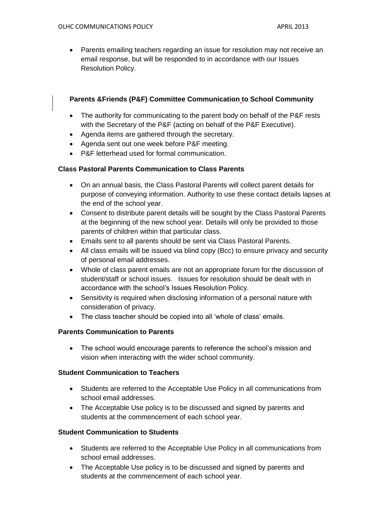• Parents emailing teachers regarding an issue for resolution may not receive an email response, but will be responded to in accordance with our Issues Resolution Policy.

#### **Parents &Friends (P&F) Committee Communication to School Community**

- The authority for communicating to the parent body on behalf of the P&F rests with the Secretary of the P&F (acting on behalf of the P&F Executive).
- Agenda items are gathered through the secretary.
- Agenda sent out one week before P&F meeting.
- P&F letterhead used for formal communication.

#### **Class Pastoral Parents Communication to Class Parents**

- On an annual basis, the Class Pastoral Parents will collect parent details for purpose of conveying information. Authority to use these contact details lapses at the end of the school year.
- Consent to distribute parent details will be sought by the Class Pastoral Parents at the beginning of the new school year. Details will only be provided to those parents of children within that particular class.
- Emails sent to all parents should be sent via Class Pastoral Parents.
- All class emails will be issued via blind copy (Bcc) to ensure privacy and security of personal email addresses.
- Whole of class parent emails are not an appropriate forum for the discussion of student/staff or school issues. Issues for resolution should be dealt with in accordance with the school's Issues Resolution Policy.
- Sensitivity is required when disclosing information of a personal nature with consideration of privacy.
- The class teacher should be copied into all 'whole of class' emails.

#### **Parents Communication to Parents**

• The school would encourage parents to reference the school's mission and vision when interacting with the wider school community.

#### **Student Communication to Teachers**

- Students are referred to the Acceptable Use Policy in all communications from school email addresses.
- The Acceptable Use policy is to be discussed and signed by parents and students at the commencement of each school year.

#### **Student Communication to Students**

- Students are referred to the Acceptable Use Policy in all communications from school email addresses.
- The Acceptable Use policy is to be discussed and signed by parents and students at the commencement of each school year.